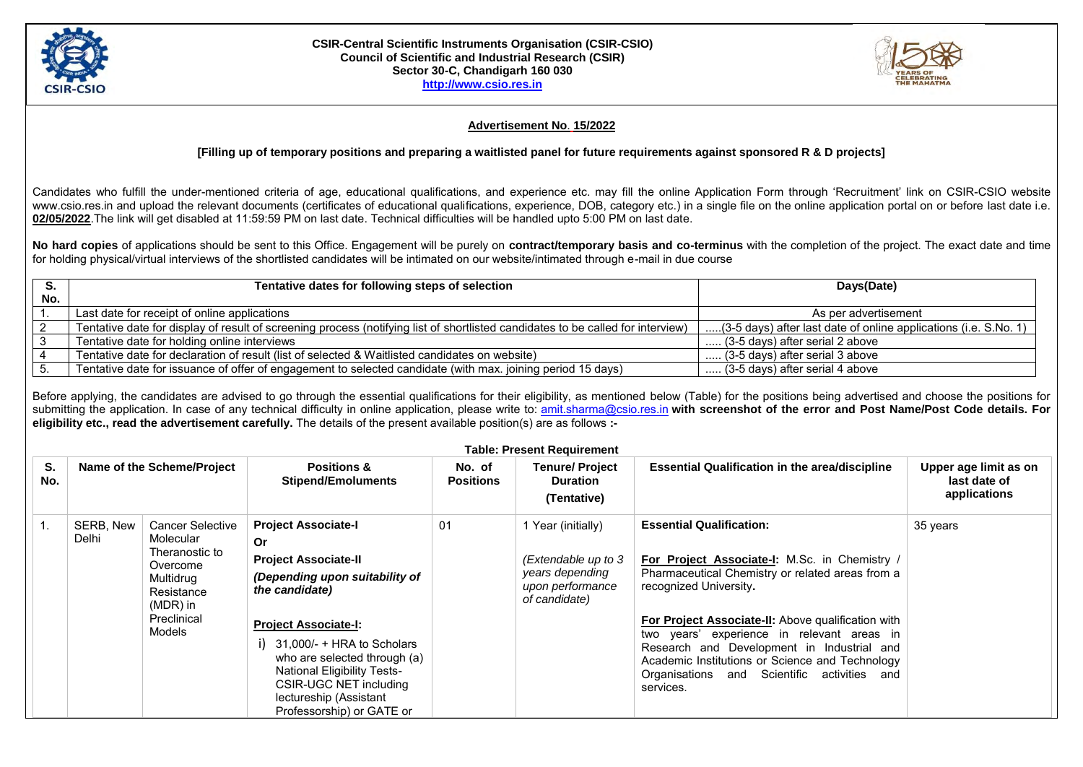

## **CSIR-Central Scientific Instruments Organisation (CSIR-CSIO) Council of Scientific and Industrial Research (CSIR) Sector 30-C, Chandigarh 160 030 [http://www.csio.res.in](http://www.csio.res.in/)**



## **Advertisement No**. **15/2022**

## **[Filling up of temporary positions and preparing a waitlisted panel for future requirements against sponsored R & D projects]**

Candidates who fulfill the under-mentioned criteria of age, educational qualifications, and experience etc. may fill the online Application Form through 'Recruitment' link on CSIR-CSIO website www.csio.res.in and upload the relevant documents (certificates of educational qualifications, experience, DOB, category etc.) in a single file on the online application portal on or before last date i.e. **02/05/2022**.The link will get disabled at 11:59:59 PM on last date. Technical difficulties will be handled upto 5:00 PM on last date.

**No hard copies** of applications should be sent to this Office. Engagement will be purely on **contract/temporary basis and co-terminus** with the completion of the project. The exact date and time for holding physical/virtual interviews of the shortlisted candidates will be intimated on our website/intimated through e-mail in due course

|     | Tentative dates for following steps of selection                                                                                | Days(Date)                                                       |  |
|-----|---------------------------------------------------------------------------------------------------------------------------------|------------------------------------------------------------------|--|
| No. |                                                                                                                                 |                                                                  |  |
|     | Last date for receipt of online applications                                                                                    | As per advertisement                                             |  |
|     | Tentative date for display of result of screening process (notifying list of shortlisted candidates to be called for interview) | (3-5 days) after last date of online applications (i.e. S.No. 1) |  |
|     | Tentative date for holding online interviews                                                                                    | (3-5 days) after serial 2 above                                  |  |
|     | Tentative date for declaration of result (list of selected & Waitlisted candidates on website)                                  | $\ldots$ (3-5 days) after serial 3 above                         |  |
|     | Tentative date for issuance of offer of engagement to selected candidate (with max. joining period 15 days)                     | (3-5 days) after serial 4 above                                  |  |

Before applying, the candidates are advised to go through the essential qualifications for their eligibility, as mentioned below (Table) for the positions being advertised and choose the positions for submitting the application. In case of any technical difficulty in online application, please write to: [amit.sharma@csio.res.in](mailto:amit.sharma@csio.res.in) with screenshot of the error and Post Name/Post Code details. For **eligibility etc., read the advertisement carefully.** The details of the present available position(s) are as follows **:-**

| <b>Table: Present Requirement</b> |                            |                                                                                                                                    |                                                                                                                                                                                                                                                                                                                                           |                            |                                                                                                   |                                                                                                                                                                                                                                                                                                                                                                                                                                        |                                                       |  |
|-----------------------------------|----------------------------|------------------------------------------------------------------------------------------------------------------------------------|-------------------------------------------------------------------------------------------------------------------------------------------------------------------------------------------------------------------------------------------------------------------------------------------------------------------------------------------|----------------------------|---------------------------------------------------------------------------------------------------|----------------------------------------------------------------------------------------------------------------------------------------------------------------------------------------------------------------------------------------------------------------------------------------------------------------------------------------------------------------------------------------------------------------------------------------|-------------------------------------------------------|--|
| S.<br>No.                         | Name of the Scheme/Project |                                                                                                                                    | <b>Positions &amp;</b><br><b>Stipend/Emoluments</b>                                                                                                                                                                                                                                                                                       | No. of<br><b>Positions</b> | <b>Tenure/ Project</b><br><b>Duration</b><br>(Tentative)                                          | <b>Essential Qualification in the area/discipline</b>                                                                                                                                                                                                                                                                                                                                                                                  | Upper age limit as on<br>last date of<br>applications |  |
|                                   | SERB, New<br>Delhi         | <b>Cancer Selective</b><br>Molecular<br>Theranostic to<br>Overcome<br>Multidrug<br>Resistance<br>(MDR) in<br>Preclinical<br>Models | <b>Project Associate-I</b><br>0r<br><b>Project Associate-II</b><br>(Depending upon suitability of<br>the candidate)<br><b>Project Associate-I:</b><br>$31,000/- + HRA$ to Scholars<br>who are selected through (a)<br><b>National Eligibility Tests-</b><br>CSIR-UGC NET including<br>lectureship (Assistant<br>Professorship) or GATE or | 01                         | 1 Year (initially)<br>(Extendable up to 3<br>years depending<br>upon performance<br>of candidate) | <b>Essential Qualification:</b><br>For Project Associate-I: M.Sc. in Chemistry /<br>Pharmaceutical Chemistry or related areas from a<br>recognized University.<br><b>For Project Associate-II:</b> Above qualification with<br>two years' experience in relevant areas in<br>Research and Development in Industrial and<br>Academic Institutions or Science and Technology<br>Organisations and Scientific activities and<br>services. | 35 years                                              |  |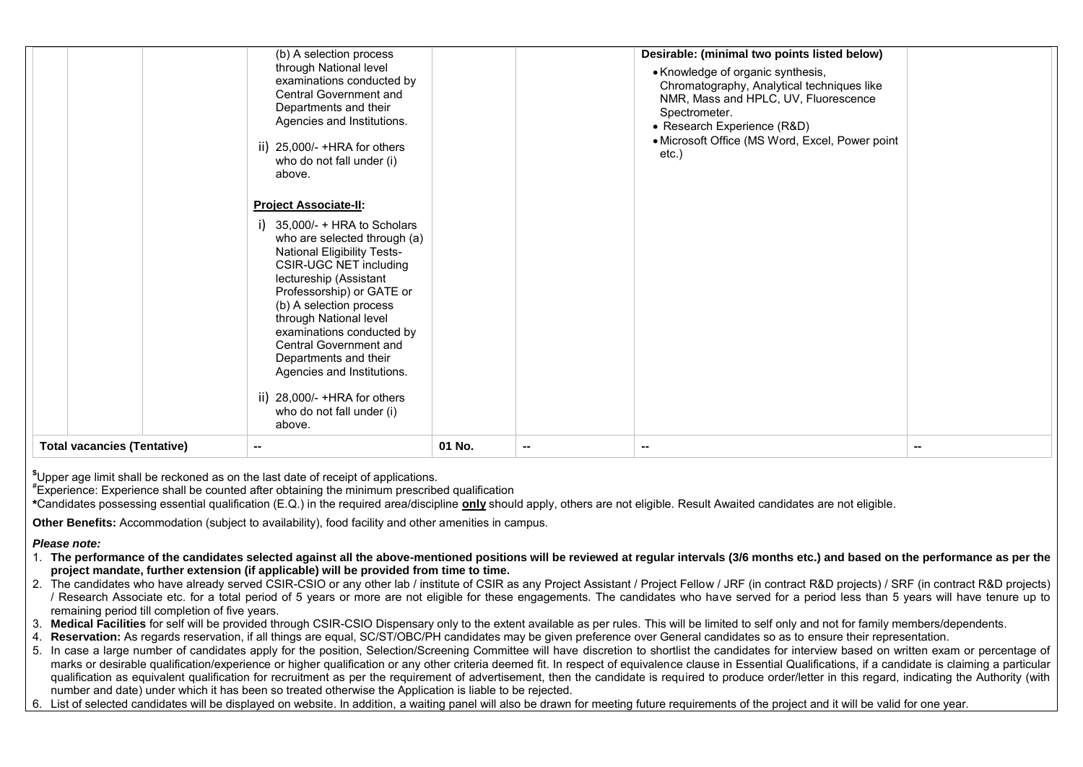|                                              | (b) A selection process<br>through National level<br>examinations conducted by<br><b>Central Government and</b><br>Departments and their<br>Agencies and Institutions.<br>ii) 25,000/- +HRA for others<br>who do not fall under (i)<br>above.                                                                                                                                                                                                                         |        |                          | Desirable: (minimal two points listed below)<br>• Knowledge of organic synthesis,<br>Chromatography, Analytical techniques like<br>NMR, Mass and HPLC, UV, Fluorescence<br>Spectrometer.<br>• Research Experience (R&D)<br>• Microsoft Office (MS Word, Excel, Power point<br>$etc.$ ) |        |
|----------------------------------------------|-----------------------------------------------------------------------------------------------------------------------------------------------------------------------------------------------------------------------------------------------------------------------------------------------------------------------------------------------------------------------------------------------------------------------------------------------------------------------|--------|--------------------------|----------------------------------------------------------------------------------------------------------------------------------------------------------------------------------------------------------------------------------------------------------------------------------------|--------|
|                                              | <b>Project Associate-II:</b><br>35,000/- + HRA to Scholars<br>who are selected through (a)<br><b>National Eligibility Tests-</b><br>CSIR-UGC NET including<br>lectureship (Assistant<br>Professorship) or GATE or<br>(b) A selection process<br>through National level<br>examinations conducted by<br><b>Central Government and</b><br>Departments and their<br>Agencies and Institutions.<br>ii) $28,000/- + HRA$ for others<br>who do not fall under (i)<br>above. |        |                          |                                                                                                                                                                                                                                                                                        |        |
| <b>Total vacancies (Tentative)</b><br>$\sim$ |                                                                                                                                                                                                                                                                                                                                                                                                                                                                       | 01 No. | $\overline{\phantom{a}}$ | $\sim$                                                                                                                                                                                                                                                                                 | $\sim$ |

**\$**Upper age limit shall be reckoned as on the last date of receipt of applications.

**#** Experience: Experience shall be counted after obtaining the minimum prescribed qualification

**\***Candidates possessing essential qualification (E.Q.) in the required area/discipline **only** should apply, others are not eligible. Result Awaited candidates are not eligible.

**Other Benefits:** Accommodation (subject to availability), food facility and other amenities in campus.

## *Please note:*

- 1. **The performance of the candidates selected against all the above-mentioned positions will be reviewed at regular intervals (3/6 months etc.) and based on the performance as per the project mandate, further extension (if applicable) will be provided from time to time.**
- 2. The candidates who have already served CSIR-CSIO or any other lab / institute of CSIR as any Project Assistant / Project Fellow / JRF (in contract R&D projects) / SRF (in contract R&D projects) / Research Associate etc. for a total period of 5 years or more are not eligible for these engagements. The candidates who have served for a period less than 5 years will have tenure up to remaining period till completion of five years.
- 3. **Medical Facilities** for self will be provided through CSIR-CSIO Dispensary only to the extent available as per rules. This will be limited to self only and not for family members/dependents.
- 4. **Reservation:** As regards reservation, if all things are equal, SC/ST/OBC/PH candidates may be given preference over General candidates so as to ensure their representation.
- 5. In case a large number of candidates apply for the position, Selection/Screening Committee will have discretion to shortlist the candidates for interview based on written exam or percentage of marks or desirable qualification/experience or higher qualification or any other criteria deemed fit. In respect of equivalence clause in Essential Qualifications, if a candidate is claiming a particular qualification as equivalent qualification for recruitment as per the requirement of advertisement, then the candidate is required to produce order/letter in this regard, indicating the Authority (with number and date) under which it has been so treated otherwise the Application is liable to be rejected.
- 6. List of selected candidates will be displayed on website. In addition, a waiting panel will also be drawn for meeting future requirements of the project and it will be valid for one year.